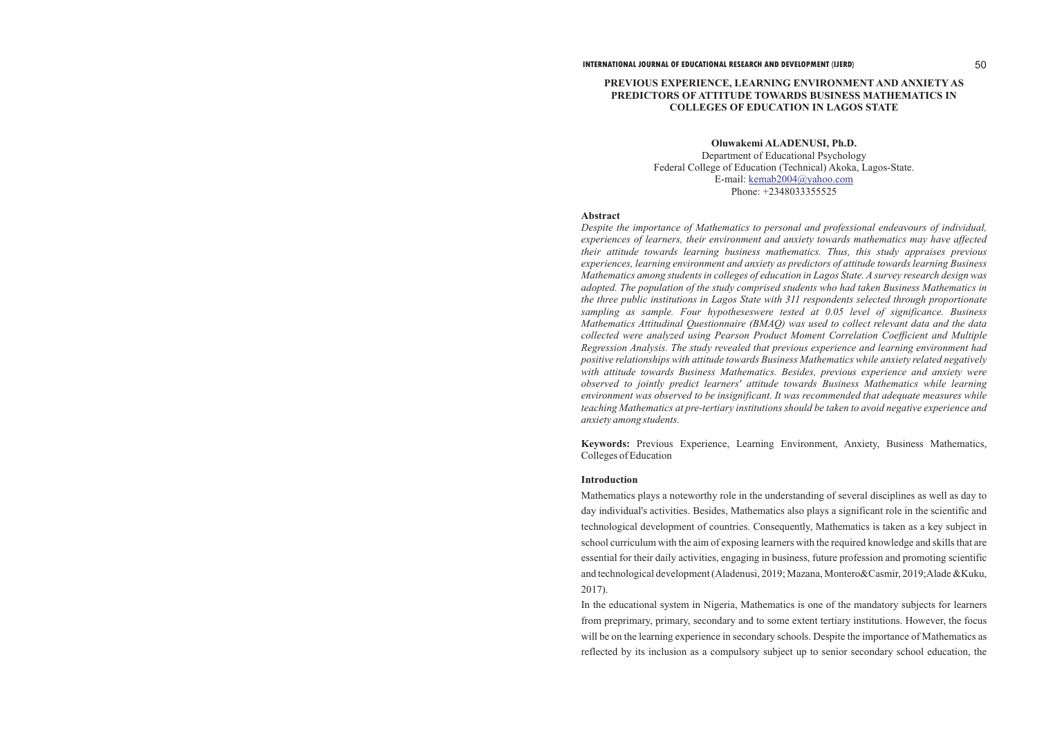# **PREVIOUS EXPERIENCE, LEARNING ENVIRONMENT AND ANXIETY AS PREDICTORS OF ATTITUDE TOWARDS BUSINESS MATHEMATICS IN COLLEGES OF EDUCATION IN LAGOS STATE**

## **Oluwakemi ALADENUSI, Ph.D.**

Department of Educational Psychology Federal College of Education (Technical) Akoka, Lagos-State. E-mail: [kemab2004@yahoo.com](mailto:KEMAB2004@YAHOO.COM) Phone: +2348033355525

## **Abstract**

*Despite the importance of Mathematics to personal and professional endeavours of individual, experiences of learners, their environment and anxiety towards mathematics may have affected their attitude towards learning business mathematics. Thus, this study appraises previous experiences, learning environment and anxiety as predictors of attitude towards learning Business Mathematics among students in colleges of education in Lagos State. A survey research design was adopted. The population of the study comprised students who had taken Business Mathematics in the three public institutions in Lagos State with 311 respondents selected through proportionate sampling as sample. Four hypotheseswere tested at 0.05 level of significance. Business Mathematics Attitudinal Questionnaire (BMAQ) was used to collect relevant data and the data collected were analyzed using Pearson Product Moment Correlation Coefficient and Multiple Regression Analysis. The study revealed that previous experience and learning environment had positive relationships with attitude towards Business Mathematics while anxiety related negatively with attitude towards Business Mathematics. Besides, previous experience and anxiety were observed to jointly predict learners' attitude towards Business Mathematics while learning environment was observed to be insignificant. It was recommended that adequate measures while teaching Mathematics at pre-tertiary institutions should be taken to avoid negative experience and anxiety among students.*

**Keywords:** Previous Experience, Learning Environment, Anxiety, Business Mathematics, Colleges of Education

## **Introduction**

Mathematics plays a noteworthy role in the understanding of several disciplines as well as day to day individual's activities. Besides, Mathematics also plays a significant role in the scientific and technological development of countries. Consequently, Mathematics is taken as a key subject in school curriculum with the aim of exposing learners with the required knowledge and skills that are essential for their daily activities, engaging in business, future profession and promoting scientific and technological development (Aladenusi, 2019; Mazana, Montero&Casmir, 2019;Alade &Kuku, 2017).

In the educational system in Nigeria, Mathematics is one of the mandatory subjects for learners from preprimary, primary, secondary and to some extent tertiary institutions. However, the focus will be on the learning experience in secondary schools. Despite the importance of Mathematics as reflected by its inclusion as a compulsory subject up to senior secondary school education, the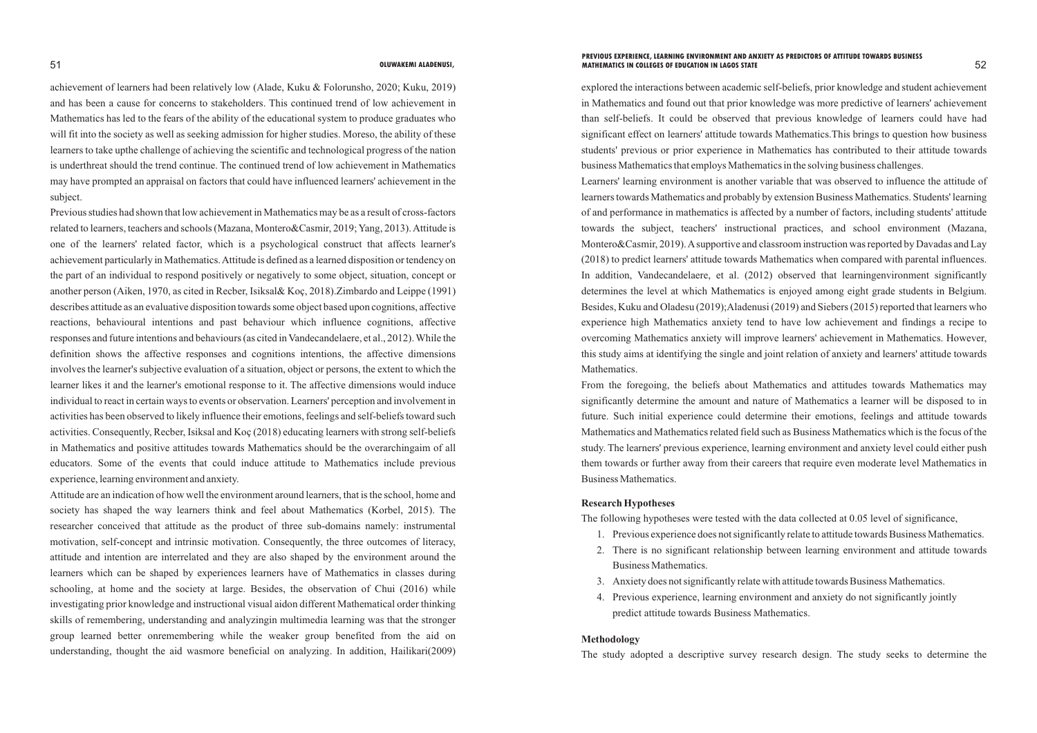achievement of learners had been relatively low (Alade, Kuku & Folorunsho, 2020; Kuku, 2019) and has been a cause for concerns to stakeholders. This continued trend of low achievement in Mathematics has led to the fears of the ability of the educational system to produce graduates who will fit into the society as well as seeking admission for higher studies. Moreso, the ability of these learners to take upthe challenge of achieving the scientific and technological progress of the nation is underthreat should the trend continue. The continued trend of low achievement in Mathematics may have prompted an appraisal on factors that could have influenced learners' achievement in the subject.

Previous studies had shown that low achievement in Mathematics may be as a result of cross-factors related to learners, teachers and schools (Mazana, Montero&Casmir, 2019; Yang, 2013). Attitude is one of the learners' related factor, which is a psychological construct that affects learner's achievement particularly in Mathematics. Attitude is defined as a learned disposition or tendency on the part of an individual to respond positively or negatively to some object, situation, concept or another person (Aiken, 1970, as cited in Recber, Isiksal& Koç, 2018).Zimbardo and Leippe (1991) describes attitude as an evaluative disposition towards some object based upon cognitions, affective reactions, behavioural intentions and past behaviour which influence cognitions, affective responses and future intentions and behaviours (as cited in Vandecandelaere, et al., 2012). While the definition shows the affective responses and cognitions intentions, the affective dimensions involves the learner's subjective evaluation of a situation, object or persons, the extent to which the learner likes it and the learner's emotional response to it. The affective dimensions would induce individual to react in certain ways to events or observation. Learners' perception and involvement in activities has been observed to likely influence their emotions, feelings and self-beliefs toward such activities. Consequently, Recber, Isiksal and Koç (2018) educating learners with strong self-beliefs in Mathematics and positive attitudes towards Mathematics should be the overarchingaim of all educators. Some of the events that could induce attitude to Mathematics include previous experience, learning environment and anxiety.

Attitude are an indication of how well the environment around learners, that is the school, home and society has shaped the way learners think and feel about Mathematics (Korbel, 2015). The researcher conceived that attitude as the product of three sub-domains namely: instrumental motivation, self-concept and intrinsic motivation. Consequently, the three outcomes of literacy, attitude and intention are interrelated and they are also shaped by the environment around the learners which can be shaped by experiences learners have of Mathematics in classes during schooling, at home and the society at large. Besides, the observation of Chui (2016) while investigating prior knowledge and instructional visual aidon different Mathematical order thinking skills of remembering, understanding and analyzingin multimedia learning was that the stronger group learned better onremembering while the weaker group benefited from the aid on understanding, thought the aid wasmore beneficial on analyzing. In addition, Hailikari(2009) explored the interactions between academic self-beliefs, prior knowledge and student achievement in Mathematics and found out that prior knowledge was more predictive of learners' achievement than self-beliefs. It could be observed that previous knowledge of learners could have had significant effect on learners' attitude towards Mathematics.This brings to question how business students' previous or prior experience in Mathematics has contributed to their attitude towards business Mathematics that employs Mathematics in the solving business challenges. Learners' learning environment is another variable that was observed to influence the attitude of learners towards Mathematics and probably by extension Business Mathematics. Students' learning of and performance in mathematics is affected by a number of factors, including students' attitude towards the subject, teachers' instructional practices, and school environment (Mazana, Montero&Casmir, 2019). Asupportive and classroom instruction was reported by Davadas and Lay (2018) to predict learners' attitude towards Mathematics when compared with parental influences. In addition, Vandecandelaere, et al. (2012) observed that learningenvironment significantly determines the level at which Mathematics is enjoyed among eight grade students in Belgium. Besides, Kuku and Oladesu (2019);Aladenusi (2019) and Siebers (2015) reported that learners who experience high Mathematics anxiety tend to have low achievement and findings a recipe to overcoming Mathematics anxiety will improve learners' achievement in Mathematics. However, this study aims at identifying the single and joint relation of anxiety and learners' attitude towards Mathematics.

From the foregoing, the beliefs about Mathematics and attitudes towards Mathematics may significantly determine the amount and nature of Mathematics a learner will be disposed to in future. Such initial experience could determine their emotions, feelings and attitude towards Mathematics and Mathematics related field such as Business Mathematics which is the focus of the study. The learners' previous experience, learning environment and anxiety level could either push them towards or further away from their careers that require even moderate level Mathematics in Business Mathematics.

# **Research Hypotheses**

The following hypotheses were tested with the data collected at 0.05 level of significance, 1. Previous experience does not significantly relate to attitude towards Business Mathematics. 2. There is no significant relationship between learning environment and attitude towards

- 
- Business Mathematics.
- 3. Anxiety does not significantly relate with attitude towards Business Mathematics.
- predict attitude towards Business Mathematics.

4. Previous experience, learning environment and anxiety do not significantly jointly

## **Methodology**

The study adopted a descriptive survey research design. The study seeks to determine the

### 51 52 **OLUWAKEMI ALADENUSI, MATHEMATICS IN COLLEGES OF EDUCATION IN LAGOS STATEPREVIOUS EXPERIENCE, LEARNING ENVIRONMENT AND ANXIETY AS PREDICTORS OF ATTITUDE TOWARDS BUSINESS**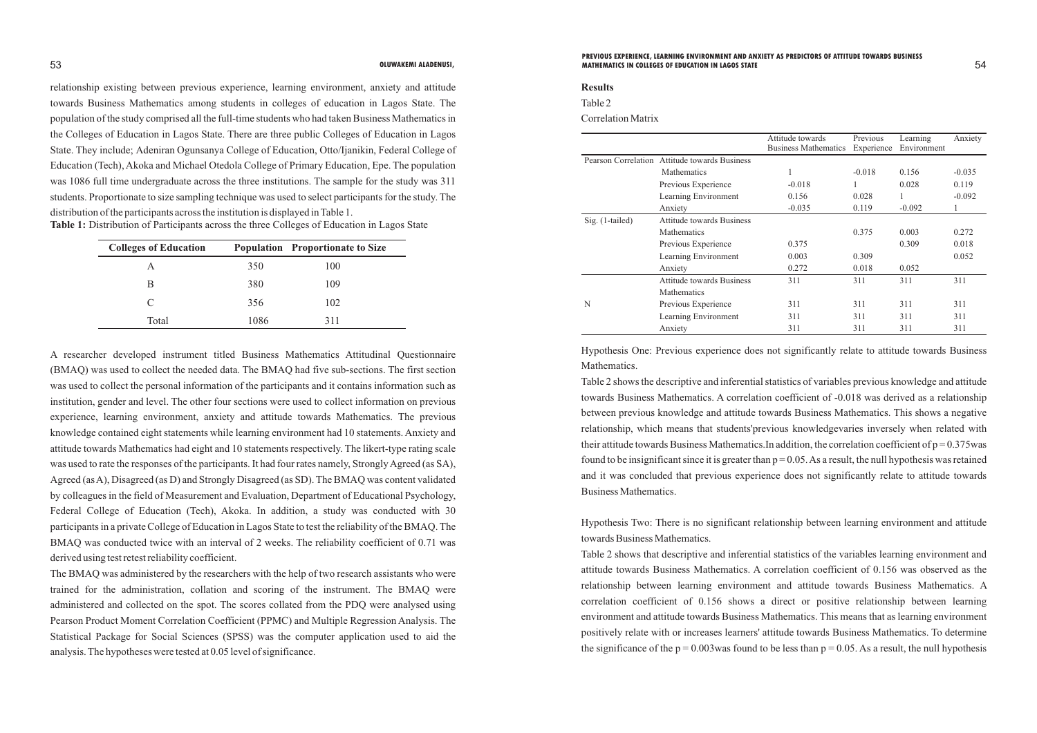relationship existing between previous experience, learning environment, anxiety and attitude towards Business Mathematics among students in colleges of education in Lagos State. The population of the study comprised all the full-time students who had taken Business Mathematics in the Colleges of Education in Lagos State. There are three public Colleges of Education in Lagos State. They include; Adeniran Ogunsanya College of Education, Otto/Ijanikin, Federal College of Education (Tech), Akoka and Michael Otedola College of Primary Education, Epe. The population was 1086 full time undergraduate across the three institutions. The sample for the study was 311 students. Proportionate to size sampling technique was used to select participants for the study. The distribution of the participants across the institution is displayed in Table 1.

| <b>Colleges of Education</b> |      | <b>Population</b> Proportionate to Size |
|------------------------------|------|-----------------------------------------|
| А                            | 350  | 100                                     |
| В                            | 380  | 109                                     |
| C                            | 356  | 102                                     |
| Total                        | 1086 | 311                                     |

A researcher developed instrument titled Business Mathematics Attitudinal Questionnaire (BMAQ) was used to collect the needed data. The BMAQ had five sub-sections. The first section was used to collect the personal information of the participants and it contains information such as institution, gender and level. The other four sections were used to collect information on previous experience, learning environment, anxiety and attitude towards Mathematics. The previous knowledge contained eight statements while learning environment had 10 statements. Anxiety and attitude towards Mathematics had eight and 10 statements respectively. The likert-type rating scale was used to rate the responses of the participants. It had four rates namely, Strongly Agreed (as SA), Agreed (as A), Disagreed (as D) and Strongly Disagreed (as SD). The BMAQ was content validated by colleagues in the field of Measurement and Evaluation, Department of Educational Psychology, Federal College of Education (Tech), Akoka. In addition, a study was conducted with 30 participants in a private College of Education in Lagos State to test the reliability of the BMAQ. The BMAQ was conducted twice with an interval of 2 weeks. The reliability coefficient of 0.71 was derived using test retest reliability coefficient.

Table 2 shows that descriptive and inferential statistics of the variables learning environment and attitude towards Business Mathematics. A correlation coefficient of 0.156 was observed as the relationship between learning environment and attitude towards Business Mathematics. A correlation coefficient of 0.156 shows a direct or positive relationship between learning environment and attitude towards Business Mathematics. This means that as learning environment positively relate with or increases learners' attitude towards Business Mathematics. To determine the significance of the  $p = 0.003$  was found to be less than  $p = 0.05$ . As a result, the null hypothesis

The BMAQ was administered by the researchers with the help of two research assistants who were trained for the administration, collation and scoring of the instrument. The BMAQ were administered and collected on the spot. The scores collated from the PDQ were analysed using Pearson Product Moment Correlation Coefficient (PPMC) and Multiple Regression Analysis. The Statistical Package for Social Sciences (SPSS) was the computer application used to aid the analysis. The hypotheses were tested at 0.05 level of significance.

# **Results**

Table 2

Correlation Matrix

|                                               |                                  | Attitude towards<br><b>Business Mathematics</b> | Previous<br>Experience | Learning<br>Environment | Anxiety  |
|-----------------------------------------------|----------------------------------|-------------------------------------------------|------------------------|-------------------------|----------|
| Pearson Correlation Attitude towards Business |                                  |                                                 |                        |                         |          |
|                                               | <b>Mathematics</b>               |                                                 | $-0.018$               | 0.156                   | $-0.035$ |
|                                               | Previous Experience              | $-0.018$                                        | 1                      | 0.028                   | 0.119    |
|                                               | Learning Environment             | 0.156                                           | 0.028                  |                         | $-0.092$ |
|                                               | Anxiety                          | $-0.035$                                        | 0.119                  | $-0.092$                |          |
| Sig. (1-tailed)                               | <b>Attitude towards Business</b> |                                                 |                        |                         |          |
|                                               | <b>Mathematics</b>               |                                                 | 0.375                  | 0.003                   | 0.272    |
|                                               | Previous Experience              | 0.375                                           |                        | 0.309                   | 0.018    |
|                                               | Learning Environment             | 0.003                                           | 0.309                  |                         | 0.052    |
|                                               | Anxiety                          | 0.272                                           | 0.018                  | 0.052                   |          |
|                                               | Attitude towards Business        | 311                                             | 311                    | 311                     | 311      |
|                                               | <b>Mathematics</b>               |                                                 |                        |                         |          |
| N                                             | Previous Experience              | 311                                             | 311                    | 311                     | 311      |
|                                               | Learning Environment             | 311                                             | 311                    | 311                     | 311      |
|                                               | Anxiety                          | 311                                             | 311                    | 311                     | 311      |

Hypothesis One: Previous experience does not significantly relate to attitude towards Business

Mathematics.

Table 2 shows the descriptive and inferential statistics of variables previous knowledge and attitude towards Business Mathematics. A correlation coefficient of -0.018 was derived as a relationship between previous knowledge and attitude towards Business Mathematics. This shows a negative relationship, which means that students'previous knowledgevaries inversely when related with their attitude towards Business Mathematics. In addition, the correlation coefficient of  $p = 0.375$  was found to be insignificant since it is greater than  $p = 0.05$ . As a result, the null hypothesis was retained and it was concluded that previous experience does not significantly relate to attitude towards Business Mathematics.

Hypothesis Two: There is no significant relationship between learning environment and attitude towards Business Mathematics.

## 53 54 **OLUWAKEMI ALADENUSI, MATHEMATICS IN COLLEGES OF EDUCATION IN LAGOS STATEPREVIOUS EXPERIENCE, LEARNING ENVIRONMENT AND ANXIETY AS PREDICTORS OF ATTITUDE TOWARDS BUSINESS**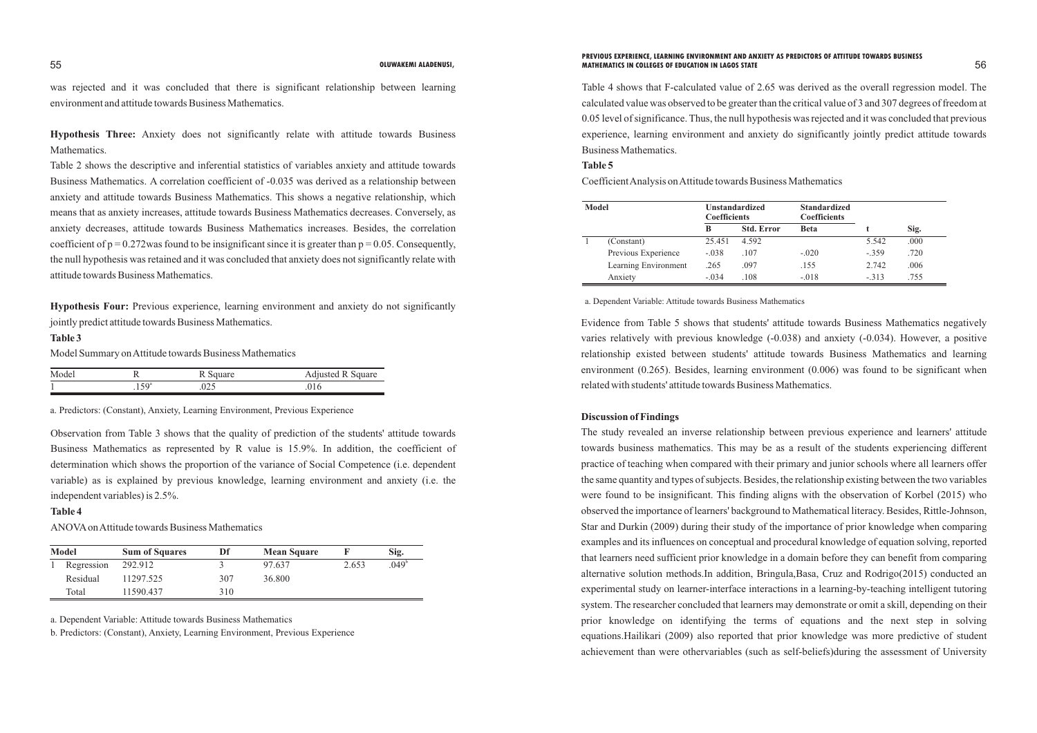was rejected and it was concluded that there is significant relationship between learning environment and attitude towards Business Mathematics.

**Hypothesis Three:** Anxiety does not significantly relate with attitude towards Business Mathematics.

Table 2 shows the descriptive and inferential statistics of variables anxiety and attitude towards Business Mathematics. A correlation coefficient of -0.035 was derived as a relationship between anxiety and attitude towards Business Mathematics. This shows a negative relationship, which means that as anxiety increases, attitude towards Business Mathematics decreases. Conversely, as anxiety decreases, attitude towards Business Mathematics increases. Besides, the correlation coefficient of  $p = 0.272$  was found to be insignificant since it is greater than  $p = 0.05$ . Consequently, the null hypothesis was retained and it was concluded that anxiety does not significantly relate with attitude towards Business Mathematics.

**Hypothesis Four:** Previous experience, learning environment and anxiety do not significantly jointly predict attitude towards Business Mathematics.

# **Table 3**

Model Summary on Attitude towards Business Mathematics

| Model |                  | R Square | <b>Adjusted R Square</b> |
|-------|------------------|----------|--------------------------|
|       | .50 <sup>a</sup> | 025      |                          |

a. Predictors: (Constant), Anxiety, Learning Environment, Previous Experience

Observation from Table 3 shows that the quality of prediction of the students' attitude towards Business Mathematics as represented by R value is 15.9%. In addition, the coefficient of determination which shows the proportion of the variance of Social Competence (i.e. dependent variable) as is explained by previous knowledge, learning environment and anxiety (i.e. the independent variables) is 2.5%.

# **Table 4**

ANOVAon Attitude towards Business Mathematics

| <b>Model</b> | <b>Sum of Squares</b> | Df  | <b>Mean Square</b> |       | Sig.           |
|--------------|-----------------------|-----|--------------------|-------|----------------|
| Regression   | 292.912               |     | 97.637             | 2.653 | $.049^{\circ}$ |
| Residual     | 11297.525             | 307 | 36.800             |       |                |
| Total        | 11590.437             | 310 |                    |       |                |

a. Dependent Variable: Attitude towards Business Mathematics

b. Predictors: (Constant), Anxiety, Learning Environment, Previous Experience

Table 4 shows that F-calculated value of 2.65 was derived as the overall regression model. The calculated value was observed to be greater than the critical value of 3 and 307 degrees of freedom at 0.05 level of significance. Thus, the null hypothesis was rejected and it was concluded that previous experience, learning environment and anxiety do significantly jointly predict attitude towards Business Mathematics. **Table 5**

Coefficient Analysis on Attitude towards Business Mathematics

| Model |                      | <b>Unstandardized</b><br><b>Coefficients</b> |                   | <b>Standardized</b><br><b>Coefficients</b> |         |      |
|-------|----------------------|----------------------------------------------|-------------------|--------------------------------------------|---------|------|
|       |                      | B                                            | <b>Std. Error</b> | <b>Beta</b>                                |         | Sig. |
|       | (Constant)           | 25.451                                       | 4.592             |                                            | 5.542   | .000 |
|       | Previous Experience  | $-.038$                                      | .107              | $-.020$                                    | $-.359$ | .720 |
|       | Learning Environment | .265                                         | .097              | .155                                       | 2.742   | .006 |
|       | Anxiety              | $-.034$                                      | .108              | $-.018$                                    | $-.313$ | .755 |

a. Dependent Variable: Attitude towards Business Mathematics

Evidence from Table 5 shows that students' attitude towards Business Mathematics negatively varies relatively with previous knowledge (-0.038) and anxiety (-0.034). However, a positive relationship existed between students' attitude towards Business Mathematics and learning environment (0.265). Besides, learning environment (0.006) was found to be significant when related with students' attitude towards Business Mathematics.

# **Discussion of Findings**

The study revealed an inverse relationship between previous experience and learners' attitude towards business mathematics. This may be as a result of the students experiencing different practice of teaching when compared with their primary and junior schools where all learners offer the same quantity and types of subjects. Besides, the relationship existing between the two variables were found to be insignificant. This finding aligns with the observation of Korbel (2015) who observed the importance of learners' background to Mathematical literacy. Besides, Rittle-Johnson, Star and Durkin (2009) during their study of the importance of prior knowledge when comparing examples and its influences on conceptual and procedural knowledge of equation solving, reported that learners need sufficient prior knowledge in a domain before they can benefit from comparing alternative solution methods.In addition, Bringula,Basa, Cruz and Rodrigo(2015) conducted an experimental study on learner-interface interactions in a learning-by-teaching intelligent tutoring system. The researcher concluded that learners may demonstrate or omit a skill, depending on their prior knowledge on identifying the terms of equations and the next step in solving equations.Hailikari (2009) also reported that prior knowledge was more predictive of student achievement than were othervariables (such as self-beliefs)during the assessment of University

## 55 56 **OLUWAKEMI ALADENUSI, MATHEMATICS IN COLLEGES OF EDUCATION IN LAGOS STATEPREVIOUS EXPERIENCE, LEARNING ENVIRONMENT AND ANXIETY AS PREDICTORS OF ATTITUDE TOWARDS BUSINESS**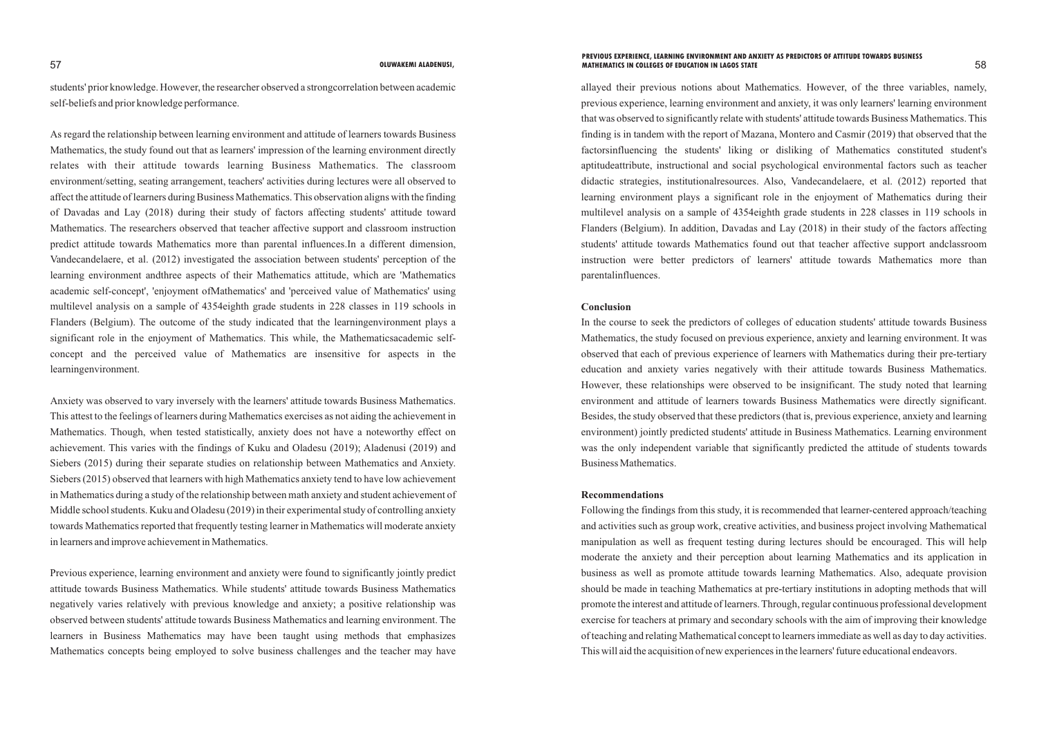students' prior knowledge. However, the researcher observed a strongcorrelation between academic self-beliefs and prior knowledge performance.

As regard the relationship between learning environment and attitude of learners towards Business Mathematics, the study found out that as learners' impression of the learning environment directly relates with their attitude towards learning Business Mathematics. The classroom environment/setting, seating arrangement, teachers' activities during lectures were all observed to affect the attitude of learners during Business Mathematics. This observation aligns with the finding of Davadas and Lay (2018) during their study of factors affecting students' attitude toward Mathematics. The researchers observed that teacher affective support and classroom instruction predict attitude towards Mathematics more than parental influences.In a different dimension, Vandecandelaere, et al. (2012) investigated the association between students' perception of the learning environment andthree aspects of their Mathematics attitude, which are 'Mathematics academic self-concept', 'enjoyment ofMathematics' and 'perceived value of Mathematics' using multilevel analysis on a sample of 4354eighth grade students in 228 classes in 119 schools in Flanders (Belgium). The outcome of the study indicated that the learningenvironment plays a significant role in the enjoyment of Mathematics. This while, the Mathematicsacademic selfconcept and the perceived value of Mathematics are insensitive for aspects in the learningenvironment.

Anxiety was observed to vary inversely with the learners' attitude towards Business Mathematics. This attest to the feelings of learners during Mathematics exercises as not aiding the achievement in Mathematics. Though, when tested statistically, anxiety does not have a noteworthy effect on achievement. This varies with the findings of Kuku and Oladesu (2019); Aladenusi (2019) and Siebers (2015) during their separate studies on relationship between Mathematics and Anxiety. Siebers (2015) observed that learners with high Mathematics anxiety tend to have low achievement in Mathematics during a study of the relationship between math anxiety and student achievement of Middle school students. Kuku and Oladesu (2019) in their experimental study of controlling anxiety towards Mathematics reported that frequently testing learner in Mathematics will moderate anxiety in learners and improve achievement in Mathematics.

Previous experience, learning environment and anxiety were found to significantly jointly predict attitude towards Business Mathematics. While students' attitude towards Business Mathematics negatively varies relatively with previous knowledge and anxiety; a positive relationship was observed between students' attitude towards Business Mathematics and learning environment. The learners in Business Mathematics may have been taught using methods that emphasizes Mathematics concepts being employed to solve business challenges and the teacher may have allayed their previous notions about Mathematics. However, of the three variables, namely, previous experience, learning environment and anxiety, it was only learners' learning environment that was observed to significantly relate with students' attitude towards Business Mathematics. This finding is in tandem with the report of Mazana, Montero and Casmir (2019) that observed that the factorsinfluencing the students' liking or disliking of Mathematics constituted student's aptitudeattribute, instructional and social psychological environmental factors such as teacher didactic strategies, institutionalresources. Also, Vandecandelaere, et al. (2012) reported that learning environment plays a significant role in the enjoyment of Mathematics during their multilevel analysis on a sample of 4354eighth grade students in 228 classes in 119 schools in Flanders (Belgium). In addition, Davadas and Lay (2018) in their study of the factors affecting students' attitude towards Mathematics found out that teacher affective support andclassroom instruction were better predictors of learners' attitude towards Mathematics more than parentalinfluences.

# **Conclusion**

In the course to seek the predictors of colleges of education students' attitude towards Business Mathematics, the study focused on previous experience, anxiety and learning environment. It was observed that each of previous experience of learners with Mathematics during their pre-tertiary education and anxiety varies negatively with their attitude towards Business Mathematics. However, these relationships were observed to be insignificant. The study noted that learning environment and attitude of learners towards Business Mathematics were directly significant. Besides, the study observed that these predictors (that is, previous experience, anxiety and learning environment) jointly predicted students' attitude in Business Mathematics. Learning environment was the only independent variable that significantly predicted the attitude of students towards Business Mathematics.

## **Recommendations**

Following the findings from this study, it is recommended that learner-centered approach/teaching and activities such as group work, creative activities, and business project involving Mathematical manipulation as well as frequent testing during lectures should be encouraged. This will help moderate the anxiety and their perception about learning Mathematics and its application in business as well as promote attitude towards learning Mathematics. Also, adequate provision should be made in teaching Mathematics at pre-tertiary institutions in adopting methods that will promote the interest and attitude of learners. Through, regular continuous professional development exercise for teachers at primary and secondary schools with the aim of improving their knowledge of teaching and relating Mathematical concept to learners immediate as well as day to day activities. This will aid the acquisition of new experiences in the learners' future educational endeavors.

### 57 58 **OLUWAKEMI ALADENUSI, MATHEMATICS IN COLLEGES OF EDUCATION IN LAGOS STATEPREVIOUS EXPERIENCE, LEARNING ENVIRONMENT AND ANXIETY AS PREDICTORS OF ATTITUDE TOWARDS BUSINESS**